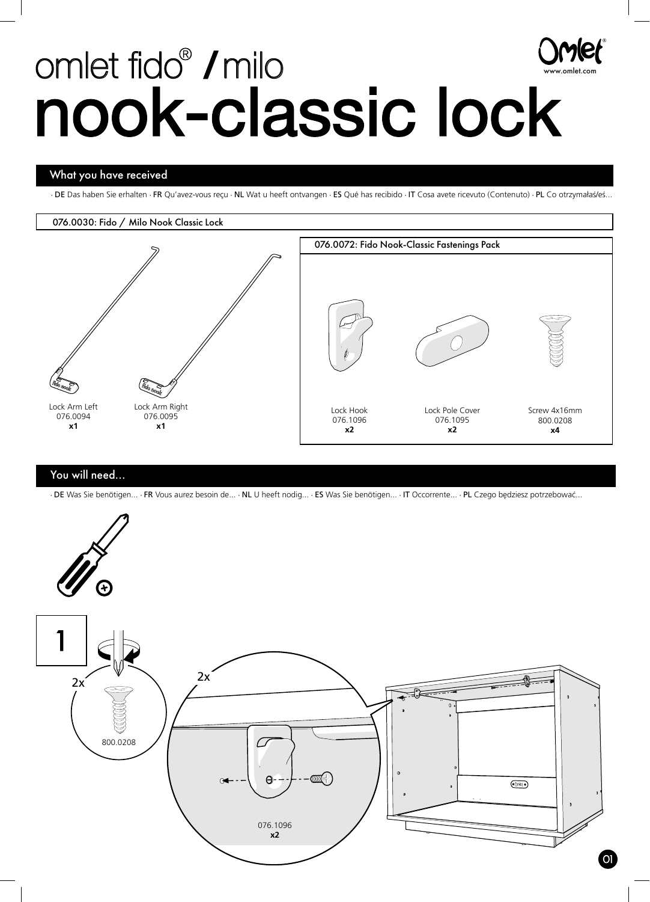# omlet fido<sup>®</sup> / milo nook-classic lock www.omlet.com

## What you have received

· DE Das haben Sie erhalten · FR Qu'avez-vous reçu · NL Wat u heeft ontvangen · ES Qué has recibido · IT Cosa avete ricevuto (Contenuto) · PL Co otrzymałaś/eś...

®

#### 076.0030: Fido / Milo Nook Classic Lock



### You will need...

· DE Was Sie benötigen... · FR Vous aurez besoin de... · NL U heeft nodig... · ES Was Sie benötigen... · IT Occorrente... · PL Czego będziesz potrzebować...

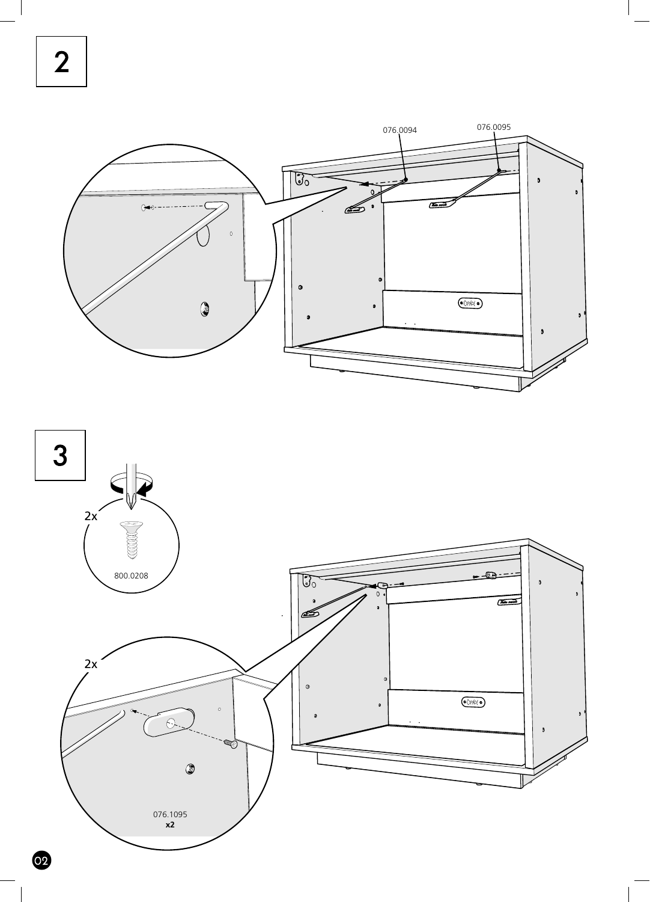$\overline{2}$ 





 $\bullet$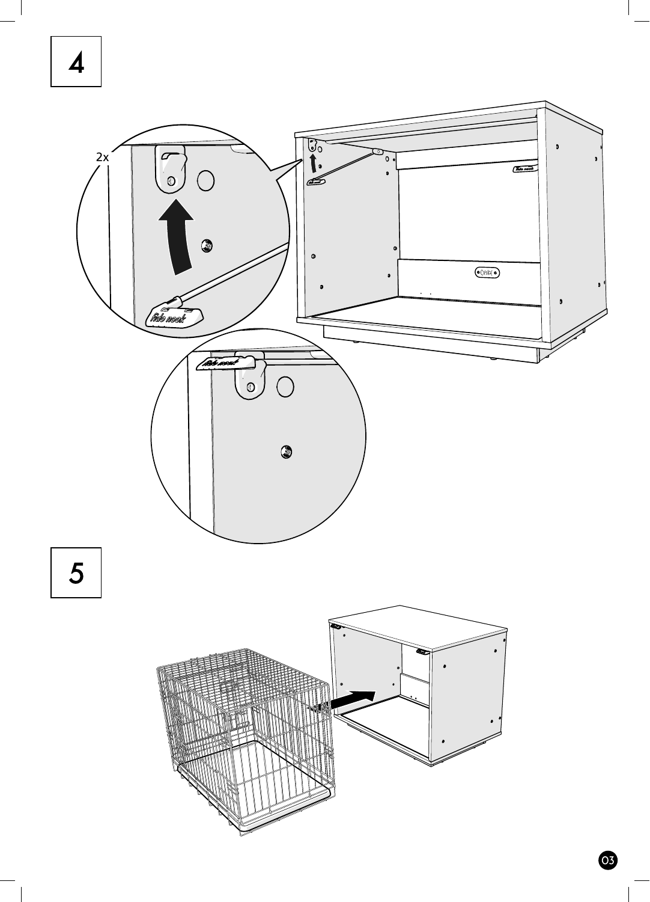# $\overline{\mathbf{A}}$

 $\overline{\phantom{a}}$ 



 $\bullet$